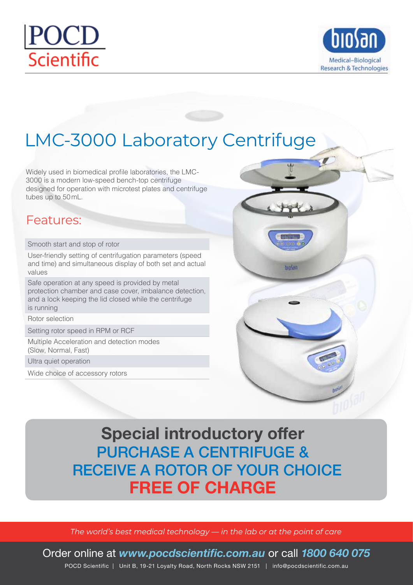



## LMC-3000 Laboratory Centrifuge

Widely used in biomedical profile laboratories, the LMC-3000 is a modern low-speed bench-top centrifuge designed for operation with microtest plates and centrifuge tubes up to 50mL.

#### Features:

Smooth start and stop of rotor

User-friendly setting of centrifugation parameters (speed and time) and simultaneous display of both set and actual values

Safe operation at any speed is provided by metal protection chamber and case cover, imbalance detection, and a lock keeping the lid closed while the centrifuge is running

Rotor selection

Setting rotor speed in RPM or RCF

Multiple Acceleration and detection modes (Slow, Normal, Fast)

Ultra quiet operation

Wide choice of accessory rotors



### **Special introductory offer** PURCHASE A CENTRIFUGE & RECEIVE A ROTOR OF YOUR CHOICE **FREE OF CHARGE**

*The world's best medical technology — in the lab or at the point of care*

Order online at *www.pocdscientific.com.au* or call *1800 640 075*

POCD Scientific | Unit B, 19-21 Loyalty Road, North Rocks NSW 2151 | info@pocdscientific.com.au